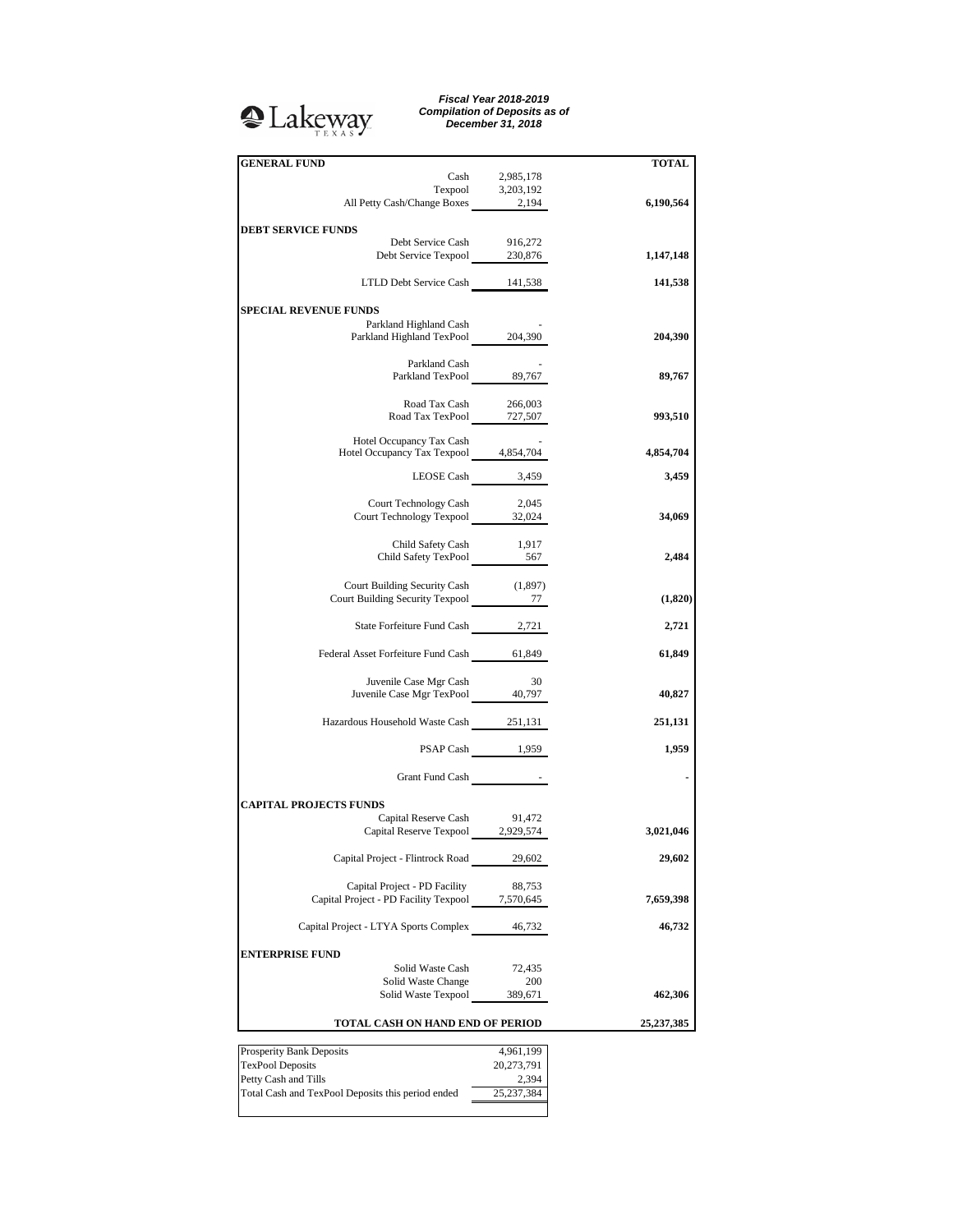## <sup>2</sup>Lakeway

*Fiscal Year 2018-2019 Compilation of Deposits as of December 31, 2018*

| <b>GENERAL FUND</b>                                                              |                 | TOTAL      |
|----------------------------------------------------------------------------------|-----------------|------------|
| Cash                                                                             | 2,985,178       |            |
| Texpool 3,203,192<br>All Petty Cash/Change Boxes 2,194                           |                 |            |
|                                                                                  |                 | 6,190,564  |
| <b>DEBT SERVICE FUNDS</b>                                                        |                 |            |
| Debt Service Cash                                                                | 916,272         |            |
| Debt Service Texpool 230,876                                                     |                 | 1,147,148  |
|                                                                                  |                 |            |
| LTLD Debt Service Cash 141,538                                                   |                 | 141,538    |
| <b>SPECIAL REVENUE FUNDS</b>                                                     |                 |            |
| Parkland Highland Cash                                                           |                 |            |
| Parkland Highland TexPool 204,390                                                |                 | 204,390    |
|                                                                                  |                 |            |
| Parkland Cash                                                                    |                 |            |
| Parkland TexPool 89,767                                                          |                 | 89,767     |
| Road Tax Cash                                                                    | 266,003         |            |
| Road Tax TexPool 727,507                                                         |                 | 993,510    |
|                                                                                  |                 |            |
| Hotel Occupancy Tax Cash<br>Hotel Occupancy Tax Texpool 4,854,704                |                 | 4,854,704  |
|                                                                                  |                 |            |
| LEOSE Cash 3,459                                                                 |                 | 3,459      |
|                                                                                  |                 |            |
| Court Technology Cash<br>Court Technology Texpool 32,024                         | 2,045           | 34,069     |
|                                                                                  |                 |            |
|                                                                                  |                 |            |
| Child Safety Cash 1,917<br>Child Safety TexPool 567                              |                 | 2,484      |
|                                                                                  |                 |            |
| Court Building Security Cash (1,897)                                             |                 |            |
| Court Building Security Texpool 277                                              |                 | (1,820)    |
| State Forfeiture Fund Cash 2,721                                                 |                 | 2,721      |
|                                                                                  |                 |            |
| Federal Asset Forfeiture Fund Cash 61,849                                        |                 | 61,849     |
|                                                                                  |                 |            |
| Juvenile Case Mgr Cash                                                           | 30              |            |
| Juvenile Case Mgr TexPool 40,797                                                 |                 | 40,827     |
| Hazardous Household Waste Cash 251,131                                           |                 | 251,131    |
|                                                                                  |                 |            |
|                                                                                  | PSAP Cash 1,959 | 1,959      |
|                                                                                  |                 |            |
| Grant Fund Cash Fig. 2014                                                        |                 |            |
| <b>CAPITAL PROJECTS FUNDS</b>                                                    |                 |            |
| Capital Reserve Cash 91,472                                                      |                 |            |
| Capital Reserve Texpool 2,929,574                                                |                 | 3,021,046  |
|                                                                                  |                 |            |
| Capital Project - Flintrock Road                                                 | 29,602          | 29,602     |
|                                                                                  |                 |            |
| Capital Project - PD Facility<br>Capital Project - PD Facility Texpool 7,570,645 | 88,753          | 7,659,398  |
|                                                                                  |                 |            |
| Capital Project - LTYA Sports Complex                                            | 46,732          | 46,732     |
|                                                                                  |                 |            |
| <b>ENTERPRISE FUND</b>                                                           |                 |            |
| Solid Waste Cash                                                                 | 72,435          |            |
| Solid Waste Change<br>Solid Waste Texpool                                        | 200<br>389,671  | 462,306    |
|                                                                                  |                 |            |
| TOTAL CASH ON HAND END OF PERIOD                                                 |                 | 25,237,385 |
|                                                                                  |                 |            |
| Prosperity Bank Deposits                                                         | 4,961,199       |            |
| <b>TexPool Deposits</b>                                                          | 20,273,791      |            |
| Petty Cash and Tills                                                             | 2.394           |            |

Petty Cash and Tills 2,394 Total Cash and TexPool Deposits this period ended 25,237,384